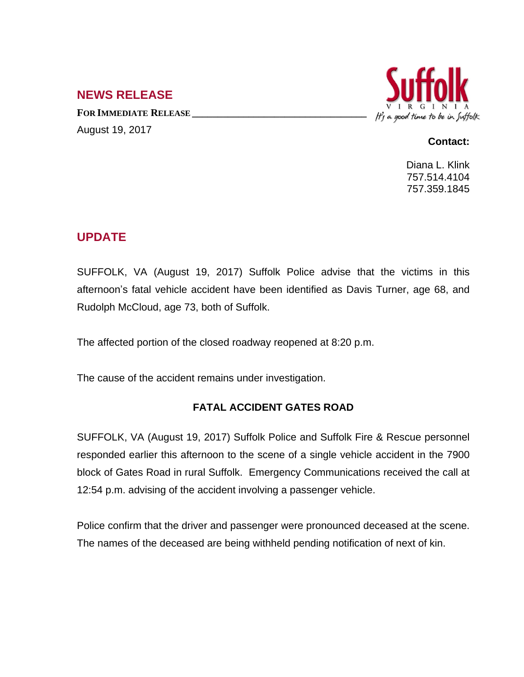## **NEWS RELEASE**

**FOR IMMEDIATE RELEASE \_\_\_\_\_\_\_\_\_\_\_\_\_\_\_\_\_\_\_\_\_\_\_\_\_\_\_\_\_\_\_\_\_\_** August 19, 2017



## **Contact:**

Diana L. Klink 757.514.4104 757.359.1845

## **UPDATE**

SUFFOLK, VA (August 19, 2017) Suffolk Police advise that the victims in this afternoon's fatal vehicle accident have been identified as Davis Turner, age 68, and Rudolph McCloud, age 73, both of Suffolk.

The affected portion of the closed roadway reopened at 8:20 p.m.

The cause of the accident remains under investigation.

## **FATAL ACCIDENT GATES ROAD**

SUFFOLK, VA (August 19, 2017) Suffolk Police and Suffolk Fire & Rescue personnel responded earlier this afternoon to the scene of a single vehicle accident in the 7900 block of Gates Road in rural Suffolk. Emergency Communications received the call at 12:54 p.m. advising of the accident involving a passenger vehicle.

Police confirm that the driver and passenger were pronounced deceased at the scene. The names of the deceased are being withheld pending notification of next of kin.